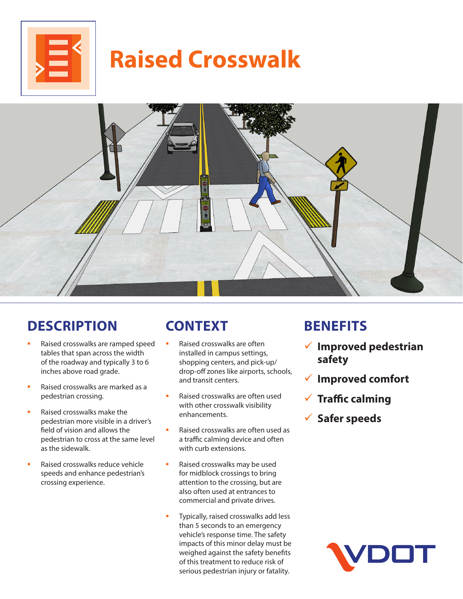

# **Raised Crosswalk**



### **DESCRIPTION**

- Raised crosswalks are ramped speed tables that span across the width of the roadway and typically 3 to 6 inches above road grade.
- Raised crosswalks are marked as a pedestrian crossing.
- Raised crosswalks make the pedestrian more visible in a driver's field of vision and allows the pedestrian to cross at the same level as the sidewalk.
- Raised crosswalks reduce vehicle speeds and enhance pedestrian's crossing experience.

## **CONTEXT**

- Raised crosswalks are often installed in campus settings, shopping centers, and pick-up/ drop-off zones like airports, schools, and transit centers.
- Raised crosswalks are often used with other crosswalk visibility enhancements.
- Raised crosswalks are often used as a traffic calming device and often with curb extensions.
- Raised crosswalks may be used for midblock crossings to bring attention to the crossing, but are also often used at entrances to commercial and private drives.
- Typically, raised crosswalks add less than 5 seconds to an emergency vehicle's response time. The safety impacts of this minor delay must be weighed against the safety benefits of this treatment to reduce risk of serious pedestrian injury or fatality.

#### **BENEFITS**

- 9 **Improved pedestrian safety**
- 9 **Improved comfort**
- **√ Traffic calming**
- 9 **Safer speeds**